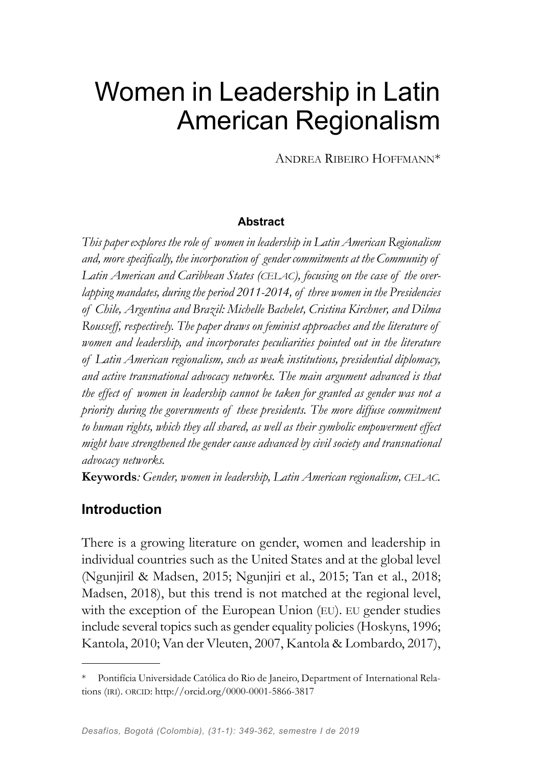# Women in Leadership in Latin American Regionalism

Andrea Ribeiro Hoffmann\*

#### **Abstract**

*This paper explores the role of women in leadership in Latin American Regionalism and, more specifically, the incorporation of gender commitments at the Community of*  Latin American and Caribbean States (CELAC), focusing on the case of the over*lapping mandates, during the period 2011-2014, of three women in the Presidencies of Chile, Argentina and Brazil: Michelle Bachelet, Cristina Kirchner, and Dilma Rousseff, respectively. The paper draws on feminist approaches and the literature of women and leadership, and incorporates peculiarities pointed out in the literature of Latin American regionalism, such as weak institutions, presidential diplomacy, and active transnational advocacy networks. The main argument advanced is that the effect of women in leadership cannot be taken for granted as gender was not a priority during the governments of these presidents. The more diffuse commitment to human rights, which they all shared, as well as their symbolic empowerment effect might have strengthened the gender cause advanced by civil society and transnational advocacy networks.* 

**Keywords***: Gender, women in leadership, Latin American regionalism, celac.*

## **Introduction**

There is a growing literature on gender, women and leadership in individual countries such as the United States and at the global level (Ngunjiril & Madsen, 2015; Ngunjiri et al., 2015; Tan et al., 2018; Madsen, 2018), but this trend is not matched at the regional level, with the exception of the European Union (EU). EU gender studies include several topics such as gender equality policies (Hoskyns, 1996; Kantola, 2010; Van der Vleuten, 2007, Kantola & Lombardo, 2017),

Pontifícia Universidade Católica do Rio de Janeiro, Department of International Relations (IRI). ORCID: http://orcid.org/0000-0001-5866-3817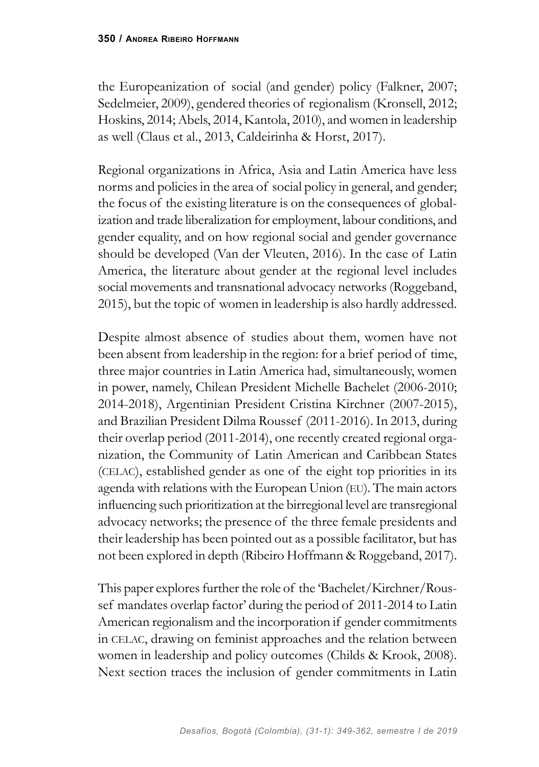the Europeanization of social (and gender) policy (Falkner, 2007; Sedelmeier, 2009), gendered theories of regionalism (Kronsell, 2012; Hoskins, 2014; Abels, 2014, Kantola, 2010), and women in leadership as well (Claus et al., 2013, Caldeirinha & Horst, 2017).

Regional organizations in Africa, Asia and Latin America have less norms and policies in the area of social policy in general, and gender; the focus of the existing literature is on the consequences of globalization and trade liberalization for employment, labour conditions, and gender equality, and on how regional social and gender governance should be developed (Van der Vleuten, 2016). In the case of Latin America, the literature about gender at the regional level includes social movements and transnational advocacy networks (Roggeband, 2015), but the topic of women in leadership is also hardly addressed.

Despite almost absence of studies about them, women have not been absent from leadership in the region: for a brief period of time, three major countries in Latin America had, simultaneously, women in power, namely, Chilean President Michelle Bachelet (2006-2010; 2014-2018), Argentinian President Cristina Kirchner (2007-2015), and Brazilian President Dilma Roussef (2011-2016). In 2013, during their overlap period (2011-2014), one recently created regional organization, the Community of Latin American and Caribbean States (celac), established gender as one of the eight top priorities in its agenda with relations with the European Union (eu). The main actors influencing such prioritization at the birregional level are transregional advocacy networks; the presence of the three female presidents and their leadership has been pointed out as a possible facilitator, but has not been explored in depth (Ribeiro Hoffmann & Roggeband, 2017).

This paper explores further the role of the 'Bachelet/Kirchner/Roussef mandates overlap factor' during the period of 2011-2014 to Latin American regionalism and the incorporation if gender commitments in celac, drawing on feminist approaches and the relation between women in leadership and policy outcomes (Childs & Krook, 2008). Next section traces the inclusion of gender commitments in Latin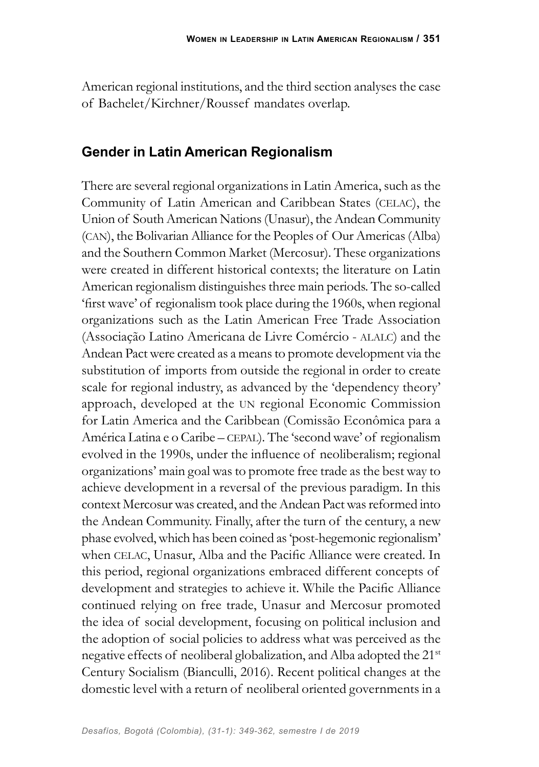American regional institutions, and the third section analyses the case of Bachelet/Kirchner/Roussef mandates overlap.

#### **Gender in Latin American Regionalism**

There are several regional organizations in Latin America, such as the Community of Latin American and Caribbean States (CELAC), the Union of South American Nations (Unasur), the Andean Community (can), the Bolivarian Alliance for the Peoples of Our Americas (Alba) and the Southern Common Market (Mercosur). These organizations were created in different historical contexts; the literature on Latin American regionalism distinguishes three main periods. The so-called 'first wave' of regionalism took place during the 1960s, when regional organizations such as the Latin American Free Trade Association (Associação Latino Americana de Livre Comércio - alalc) and the Andean Pact were created as a means to promote development via the substitution of imports from outside the regional in order to create scale for regional industry, as advanced by the 'dependency theory' approach, developed at the un regional Economic Commission for Latin America and the Caribbean (Comissão Econômica para a América Latina e o Caribe – cepal). The 'second wave' of regionalism evolved in the 1990s, under the influence of neoliberalism; regional organizations' main goal was to promote free trade as the best way to achieve development in a reversal of the previous paradigm. In this context Mercosur was created, and the Andean Pact was reformed into the Andean Community. Finally, after the turn of the century, a new phase evolved, which has been coined as 'post-hegemonic regionalism' when CELAC, Unasur, Alba and the Pacific Alliance were created. In this period, regional organizations embraced different concepts of development and strategies to achieve it. While the Pacific Alliance continued relying on free trade, Unasur and Mercosur promoted the idea of social development, focusing on political inclusion and the adoption of social policies to address what was perceived as the negative effects of neoliberal globalization, and Alba adopted the 21st Century Socialism (Bianculli, 2016). Recent political changes at the domestic level with a return of neoliberal oriented governments in a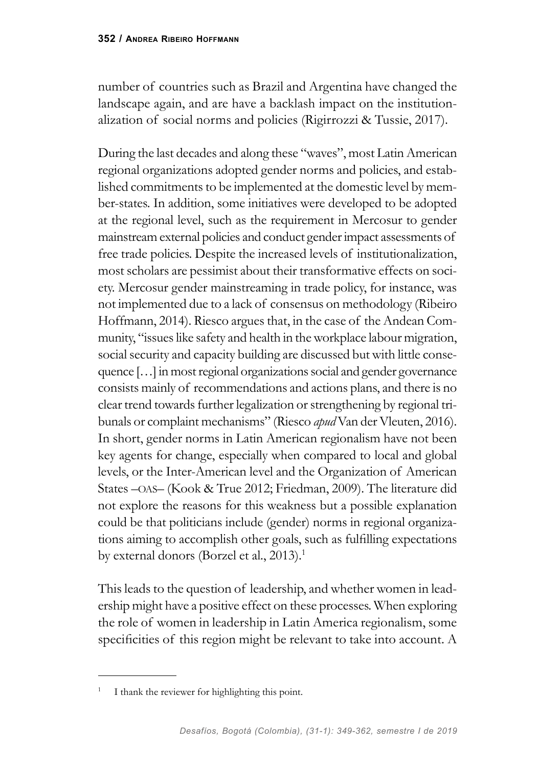number of countries such as Brazil and Argentina have changed the landscape again, and are have a backlash impact on the institutionalization of social norms and policies (Rigirrozzi & Tussie, 2017).

During the last decades and along these "waves", most Latin American regional organizations adopted gender norms and policies, and established commitments to be implemented at the domestic level by member-states. In addition, some initiatives were developed to be adopted at the regional level, such as the requirement in Mercosur to gender mainstream external policies and conduct gender impact assessments of free trade policies. Despite the increased levels of institutionalization, most scholars are pessimist about their transformative effects on society. Mercosur gender mainstreaming in trade policy, for instance, was not implemented due to a lack of consensus on methodology (Ribeiro Hoffmann, 2014). Riesco argues that, in the case of the Andean Community, "issues like safety and health in the workplace labour migration, social security and capacity building are discussed but with little consequence […] in most regional organizations social and gender governance consists mainly of recommendations and actions plans, and there is no clear trend towards further legalization or strengthening by regional tribunals or complaint mechanisms" (Riesco *apud* Van der Vleuten, 2016). In short, gender norms in Latin American regionalism have not been key agents for change, especially when compared to local and global levels, or the Inter-American level and the Organization of American States –OAS– (Kook & True 2012; Friedman, 2009). The literature did not explore the reasons for this weakness but a possible explanation could be that politicians include (gender) norms in regional organizations aiming to accomplish other goals, such as fulfilling expectations by external donors (Borzel et al., 2013).<sup>1</sup>

This leads to the question of leadership, and whether women in leadership might have a positive effect on these processes. When exploring the role of women in leadership in Latin America regionalism, some specificities of this region might be relevant to take into account. A

<sup>1</sup> I thank the reviewer for highlighting this point.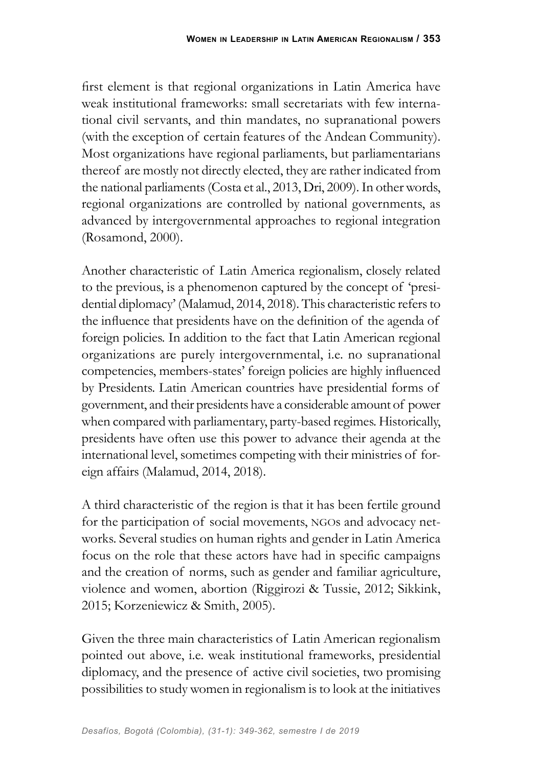first element is that regional organizations in Latin America have weak institutional frameworks: small secretariats with few international civil servants, and thin mandates, no supranational powers (with the exception of certain features of the Andean Community). Most organizations have regional parliaments, but parliamentarians thereof are mostly not directly elected, they are rather indicated from the national parliaments (Costa et al., 2013, Dri, 2009). In other words, regional organizations are controlled by national governments, as advanced by intergovernmental approaches to regional integration (Rosamond, 2000).

Another characteristic of Latin America regionalism, closely related to the previous, is a phenomenon captured by the concept of 'presidential diplomacy' (Malamud, 2014, 2018). This characteristic refers to the influence that presidents have on the definition of the agenda of foreign policies. In addition to the fact that Latin American regional organizations are purely intergovernmental, i.e. no supranational competencies, members-states' foreign policies are highly influenced by Presidents. Latin American countries have presidential forms of government, and their presidents have a considerable amount of power when compared with parliamentary, party-based regimes. Historically, presidents have often use this power to advance their agenda at the international level, sometimes competing with their ministries of foreign affairs (Malamud, 2014, 2018).

A third characteristic of the region is that it has been fertile ground for the participation of social movements, NGOs and advocacy networks. Several studies on human rights and gender in Latin America focus on the role that these actors have had in specific campaigns and the creation of norms, such as gender and familiar agriculture, violence and women, abortion (Riggirozi & Tussie, 2012; Sikkink, 2015; Korzeniewicz & Smith, 2005).

Given the three main characteristics of Latin American regionalism pointed out above, i.e. weak institutional frameworks, presidential diplomacy, and the presence of active civil societies, two promising possibilities to study women in regionalism is to look at the initiatives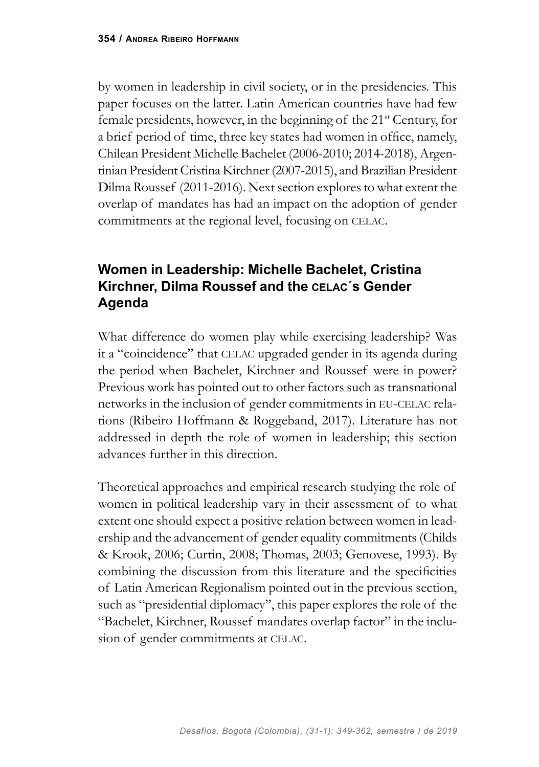by women in leadership in civil society, or in the presidencies. This paper focuses on the latter. Latin American countries have had few female presidents, however, in the beginning of the 21st Century, for a brief period of time, three key states had women in office, namely, Chilean President Michelle Bachelet (2006-2010; 2014-2018), Argentinian President Cristina Kirchner (2007-2015), and Brazilian President Dilma Roussef (2011-2016). Next section explores to what extent the overlap of mandates has had an impact on the adoption of gender commitments at the regional level, focusing on CELAC.

## **Women in Leadership: Michelle Bachelet, Cristina Kirchner, Dilma Roussef and the celac´s Gender Agenda**

What difference do women play while exercising leadership? Was it a "coincidence" that CELAC upgraded gender in its agenda during the period when Bachelet, Kirchner and Roussef were in power? Previous work has pointed out to other factors such as transnational networks in the inclusion of gender commitments in eu-celac relations (Ribeiro Hoffmann & Roggeband, 2017). Literature has not addressed in depth the role of women in leadership; this section advances further in this direction.

Theoretical approaches and empirical research studying the role of women in political leadership vary in their assessment of to what extent one should expect a positive relation between women in leadership and the advancement of gender equality commitments (Childs & Krook, 2006; Curtin, 2008; Thomas, 2003; Genovese, 1993). By combining the discussion from this literature and the specificities of Latin American Regionalism pointed out in the previous section, such as "presidential diplomacy", this paper explores the role of the "Bachelet, Kirchner, Roussef mandates overlap factor" in the inclusion of gender commitments at CELAC.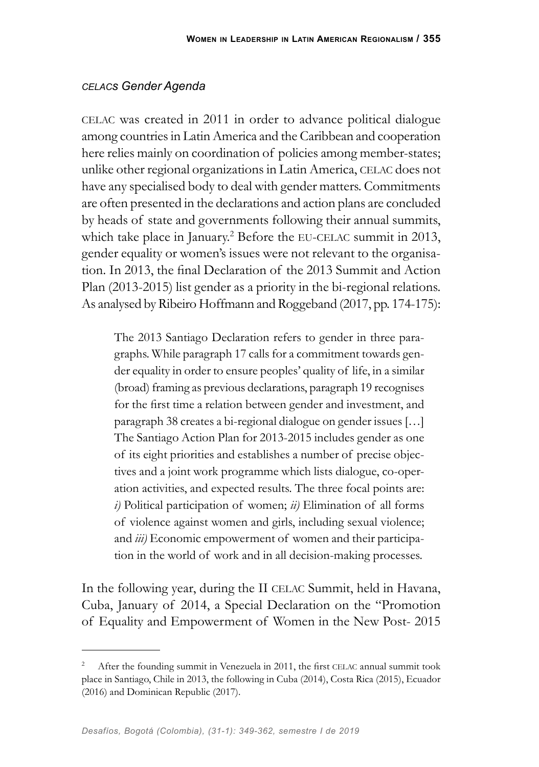#### *celacs Gender Agenda*

celac was created in 2011 in order to advance political dialogue among countries in Latin America and the Caribbean and cooperation here relies mainly on coordination of policies among member-states; unlike other regional organizations in Latin America, celac does not have any specialised body to deal with gender matters. Commitments are often presented in the declarations and action plans are concluded by heads of state and governments following their annual summits, which take place in January.<sup>2</sup> Before the EU-CELAC summit in 2013, gender equality or women's issues were not relevant to the organisation. In 2013, the final Declaration of the 2013 Summit and Action Plan (2013-2015) list gender as a priority in the bi-regional relations. As analysed by Ribeiro Hoffmann and Roggeband (2017, pp. 174-175):

The 2013 Santiago Declaration refers to gender in three paragraphs. While paragraph 17 calls for a commitment towards gender equality in order to ensure peoples' quality of life, in a similar (broad) framing as previous declarations, paragraph 19 recognises for the first time a relation between gender and investment, and paragraph 38 creates a bi-regional dialogue on gender issues […] The Santiago Action Plan for 2013-2015 includes gender as one of its eight priorities and establishes a number of precise objectives and a joint work programme which lists dialogue, co-operation activities, and expected results. The three focal points are: *i)* Political participation of women; *ii)* Elimination of all forms of violence against women and girls, including sexual violence; and *iii)* Economic empowerment of women and their participation in the world of work and in all decision-making processes.

In the following year, during the II CELAC Summit, held in Havana, Cuba, January of 2014, a Special Declaration on the "Promotion of Equality and Empowerment of Women in the New Post- 2015

<sup>2</sup> After the founding summit in Venezuela in 2011, the first celac annual summit took place in Santiago, Chile in 2013, the following in Cuba (2014), Costa Rica (2015), Ecuador (2016) and Dominican Republic (2017).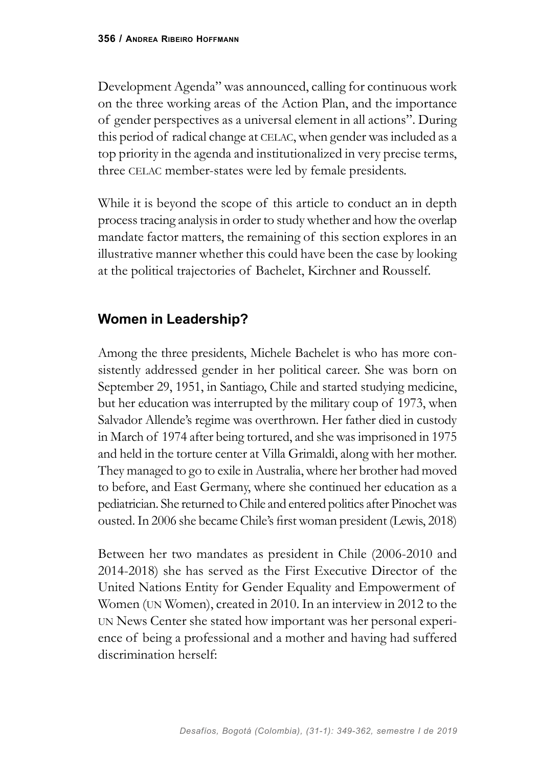Development Agenda" was announced, calling for continuous work on the three working areas of the Action Plan, and the importance of gender perspectives as a universal element in all actions". During this period of radical change at CELAC, when gender was included as a top priority in the agenda and institutionalized in very precise terms, three CELAC member-states were led by female presidents.

While it is beyond the scope of this article to conduct an in depth process tracing analysis in order to study whether and how the overlap mandate factor matters, the remaining of this section explores in an illustrative manner whether this could have been the case by looking at the political trajectories of Bachelet, Kirchner and Rousself.

## **Women in Leadership?**

Among the three presidents, Michele Bachelet is who has more consistently addressed gender in her political career. She was born on September 29, 1951, in Santiago, Chile and started studying medicine, but her education was interrupted by the military coup of 1973, when Salvador Allende's regime was overthrown. Her father died in custody in March of 1974 after being tortured, and she was imprisoned in 1975 and held in the torture center at Villa Grimaldi, along with her mother. They managed to go to exile in Australia, where her brother had moved to before, and East Germany, where she continued her education as a pediatrician. She returned to Chile and entered politics after Pinochet was ousted. In 2006 she became Chile's first woman president (Lewis, 2018)

Between her two mandates as president in Chile (2006-2010 and 2014-2018) she has served as the First Executive Director of the United Nations Entity for Gender Equality and Empowerment of Women (un Women), created in 2010. In an interview in 2012 to the un News Center she stated how important was her personal experience of being a professional and a mother and having had suffered discrimination herself: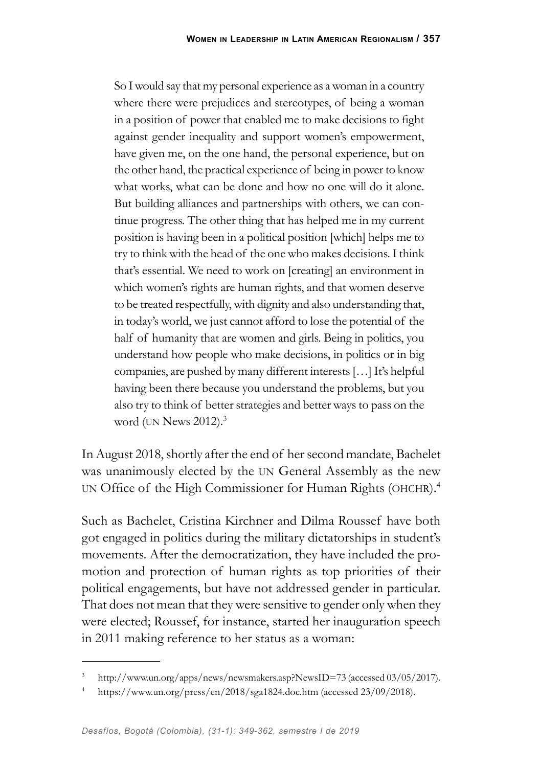So I would say that my personal experience as a woman in a country where there were prejudices and stereotypes, of being a woman in a position of power that enabled me to make decisions to fight against gender inequality and support women's empowerment, have given me, on the one hand, the personal experience, but on the other hand, the practical experience of being in power to know what works, what can be done and how no one will do it alone. But building alliances and partnerships with others, we can continue progress. The other thing that has helped me in my current position is having been in a political position [which] helps me to try to think with the head of the one who makes decisions. I think that's essential. We need to work on [creating] an environment in which women's rights are human rights, and that women deserve to be treated respectfully, with dignity and also understanding that, in today's world, we just cannot afford to lose the potential of the half of humanity that are women and girls. Being in politics, you understand how people who make decisions, in politics or in big companies, are pushed by many different interests […] It's helpful having been there because you understand the problems, but you also try to think of better strategies and better ways to pass on the word (UN News 2012).<sup>3</sup>

In August 2018, shortly after the end of her second mandate, Bachelet was unanimously elected by the un General Assembly as the new un Office of the High Commissioner for Human Rights (ohchr).<sup>4</sup>

Such as Bachelet, Cristina Kirchner and Dilma Roussef have both got engaged in politics during the military dictatorships in student's movements. After the democratization, they have included the promotion and protection of human rights as top priorities of their political engagements, but have not addressed gender in particular. That does not mean that they were sensitive to gender only when they were elected; Roussef, for instance, started her inauguration speech in 2011 making reference to her status as a woman:

<sup>3</sup> http://www.un.org/apps/news/newsmakers.asp?NewsID=73 (accessed 03/05/2017).

<sup>4</sup> https://www.un.org/press/en/2018/sga1824.doc.htm (accessed 23/09/2018).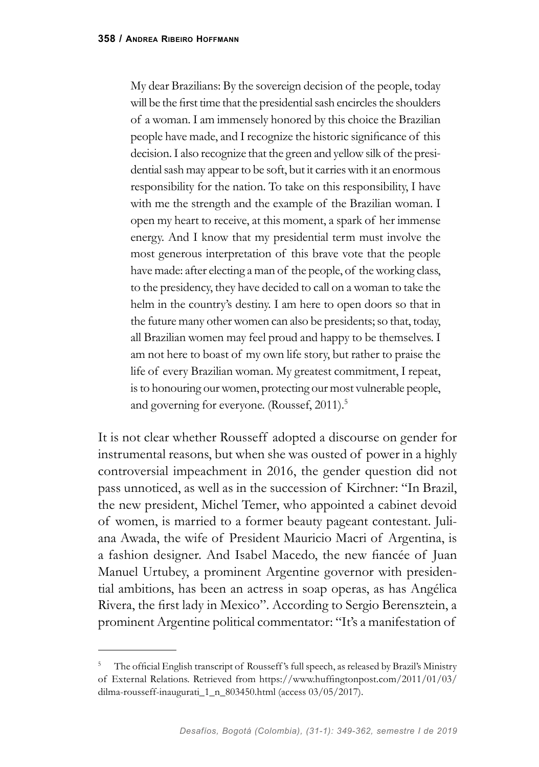My dear Brazilians: By the sovereign decision of the people, today will be the first time that the presidential sash encircles the shoulders of a woman. I am immensely honored by this choice the Brazilian people have made, and I recognize the historic significance of this decision. I also recognize that the green and yellow silk of the presidential sash may appear to be soft, but it carries with it an enormous responsibility for the nation. To take on this responsibility, I have with me the strength and the example of the Brazilian woman. I open my heart to receive, at this moment, a spark of her immense energy. And I know that my presidential term must involve the most generous interpretation of this brave vote that the people have made: after electing a man of the people, of the working class, to the presidency, they have decided to call on a woman to take the helm in the country's destiny. I am here to open doors so that in the future many other women can also be presidents; so that, today, all Brazilian women may feel proud and happy to be themselves. I am not here to boast of my own life story, but rather to praise the life of every Brazilian woman. My greatest commitment, I repeat, is to honouring our women, protecting our most vulnerable people, and governing for everyone. (Roussef, 2011).<sup>5</sup>

It is not clear whether Rousseff adopted a discourse on gender for instrumental reasons, but when she was ousted of power in a highly controversial impeachment in 2016, the gender question did not pass unnoticed, as well as in the succession of Kirchner: "In Brazil, the new president, Michel Temer, who appointed a cabinet devoid of women, is married to a former beauty pageant contestant. Juliana Awada, the wife of President Mauricio Macri of Argentina, is a fashion designer. And Isabel Macedo, the new fiancée of Juan Manuel Urtubey, a prominent Argentine governor with presidential ambitions, has been an actress in soap operas, as has Angélica Rivera, the first lady in Mexico". According to Sergio Berensztein, a prominent Argentine political commentator: "It's a manifestation of

<sup>5</sup> The official English transcript of Rousseff 's full speech, as released by Brazil's Ministry of External Relations. Retrieved from https://www.huffingtonpost.com/2011/01/03/ dilma-rousseff-inaugurati\_1\_n\_803450.html (access 03/05/2017).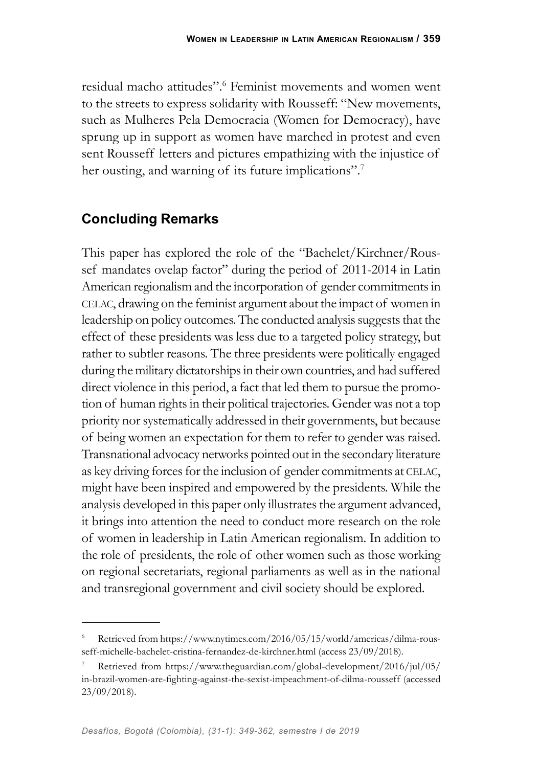residual macho attitudes".<sup>6</sup> Feminist movements and women went to the streets to express solidarity with Rousseff: "New movements, such as Mulheres Pela Democracia (Women for Democracy), have sprung up in support as women have marched in protest and even sent Rousseff letters and pictures empathizing with the injustice of her ousting, and warning of its future implications".<sup>7</sup>

## **Concluding Remarks**

This paper has explored the role of the "Bachelet/Kirchner/Roussef mandates ovelap factor" during the period of 2011-2014 in Latin American regionalism and the incorporation of gender commitments in celac, drawing on the feminist argument about the impact of women in leadership on policy outcomes. The conducted analysis suggests that the effect of these presidents was less due to a targeted policy strategy, but rather to subtler reasons. The three presidents were politically engaged during the military dictatorships in their own countries, and had suffered direct violence in this period, a fact that led them to pursue the promotion of human rights in their political trajectories. Gender was not a top priority nor systematically addressed in their governments, but because of being women an expectation for them to refer to gender was raised. Transnational advocacy networks pointed out in the secondary literature as key driving forces for the inclusion of gender commitments at celac, might have been inspired and empowered by the presidents. While the analysis developed in this paper only illustrates the argument advanced, it brings into attention the need to conduct more research on the role of women in leadership in Latin American regionalism. In addition to the role of presidents, the role of other women such as those working on regional secretariats, regional parliaments as well as in the national and transregional government and civil society should be explored.

<sup>6</sup> Retrieved from https://www.nytimes.com/2016/05/15/world/americas/dilma-rousseff-michelle-bachelet-cristina-fernandez-de-kirchner.html (access 23/09/2018).

<sup>7</sup> Retrieved from https://www.theguardian.com/global-development/2016/jul/05/ in-brazil-women-are-fighting-against-the-sexist-impeachment-of-dilma-rousseff (accessed 23/09/2018).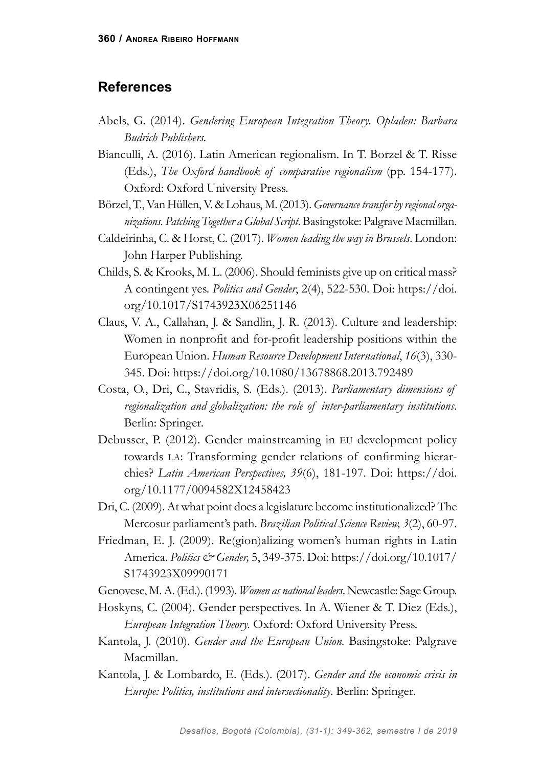#### **References**

- Abels, G. (2014). *Gendering European Integration Theory. Opladen: Barbara Budrich Publishers.*
- Bianculli, A. (2016). Latin American regionalism. In T. Borzel & T. Risse (Eds.), *The Oxford handbook of comparative regionalism* (pp. 154-177). Oxford: Oxford University Press.
- Börzel, T., Van Hüllen, V. & Lohaus, M. (2013). *Governance transfer by regional organizations. Patching Together a Global Script*. Basingstoke: Palgrave Macmillan.
- Caldeirinha, C. & Horst, C. (2017). *Women leading the way in Brussels*. London: John Harper Publishing.
- Childs, S. & Krooks, M. L. (2006). Should feminists give up on critical mass? A contingent yes. *Politics and Gender*, 2(4), 522-530. Doi: https://doi. org/10.1017/S1743923X06251146
- Claus, V. A., Callahan, J. & Sandlin, J. R. (2013). Culture and leadership: Women in nonprofit and for-profit leadership positions within the European Union. *Human Resource Development International*, *16*(3), 330- 345. Doi: https://doi.org/10.1080/13678868.2013.792489
- Costa, O., Dri, C., Stavridis, S. (Eds.). (2013). *Parliamentary dimensions of regionalization and globalization: the role of inter-parliamentary institutions*. Berlin: Springer.
- Debusser, P. (2012). Gender mainstreaming in eu development policy towards la: Transforming gender relations of confirming hierarchies? *Latin American Perspectives, 39*(6), 181-197. Doi: https://doi. org/10.1177/0094582X12458423
- Dri, C. (2009). At what point does a legislature become institutionalized? The Mercosur parliament's path. *Brazilian Political Science Review, 3*(2), 60-97.
- Friedman, E. J. (2009). Re(gion)alizing women's human rights in Latin America. *Politics & Gender,* 5, 349-375. Doi: https://doi.org/10.1017/ S1743923X09990171

Genovese, M. A. (Ed.). (1993). *Women as national leaders*. Newcastle: Sage Group.

- Hoskyns, C. (2004). Gender perspectives. In A. Wiener & T. Diez (Eds.), *European Integration Theory.* Oxford: Oxford University Press.
- Kantola, J. (2010). *Gender and the European Union.* Basingstoke: Palgrave Macmillan.
- Kantola, J. & Lombardo, E. (Eds.). (2017). *Gender and the economic crisis in Europe: Politics, institutions and intersectionality*. Berlin: Springer.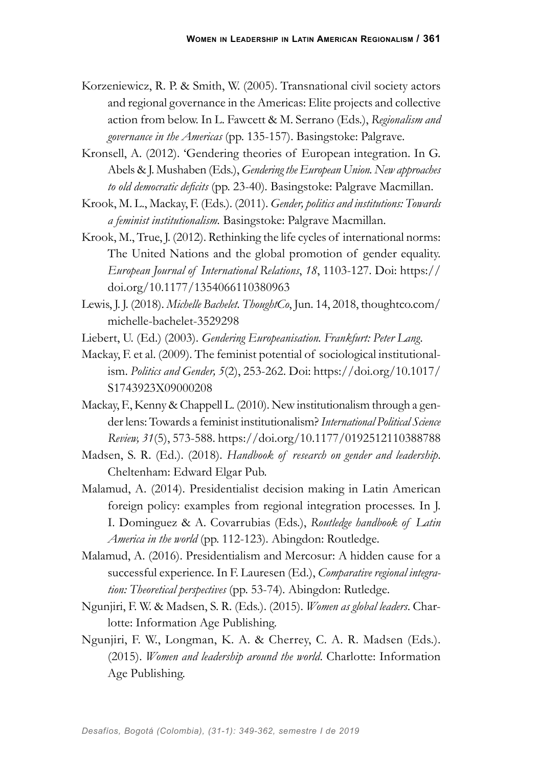- Korzeniewicz, R. P. & Smith, W. (2005). Transnational civil society actors and regional governance in the Americas: Elite projects and collective action from below. In L. Fawcett & M. Serrano (Eds.), *Regionalism and governance in the Americas* (pp. 135-157). Basingstoke: Palgrave.
- Kronsell, A. (2012). 'Gendering theories of European integration. In G. Abels & J. Mushaben (Eds.), *Gendering the European Union. New approaches to old democratic deficits* (pp. 23-40)*.* Basingstoke: Palgrave Macmillan.
- Krook, M. L., Mackay, F. (Eds.). (2011). *Gender, politics and institutions: Towards a feminist institutionalism.* Basingstoke: Palgrave Macmillan.
- Krook, M., True, J. (2012). Rethinking the life cycles of international norms: The United Nations and the global promotion of gender equality. *European Journal of International Relations*, *18*, 1103-127. Doi: https:// doi.org/10.1177/1354066110380963
- Lewis, J. J. (2018). *Michelle Bachelet. ThoughtCo*, Jun. 14, 2018, thoughtco.com/ michelle-bachelet-3529298
- Liebert, U. (Ed.) (2003). *Gendering Europeanisation. Frankfurt: Peter Lang.*
- Mackay, F. et al. (2009). The feminist potential of sociological institutionalism. *Politics and Gender, 5*(2), 253-262. Doi: https://doi.org/10.1017/ S1743923X09000208
- Mackay, F., Kenny & Chappell L. (2010). New institutionalism through a gender lens: Towards a feminist institutionalism? *International Political Science Review, 31*(5), 573-588. https://doi.org/10.1177/0192512110388788
- Madsen, S. R. (Ed.). (2018). *Handbook of research on gender and leadership*. Cheltenham: Edward Elgar Pub.
- Malamud, A. (2014). Presidentialist decision making in Latin American foreign policy: examples from regional integration processes. In J. I. Dominguez & A. Covarrubias (Eds.), *Routledge handbook of Latin America in the world* (pp. 112-123)*.* Abingdon: Routledge.
- Malamud, A. (2016). Presidentialism and Mercosur: A hidden cause for a successful experience. In F. Lauresen (Ed.), *Comparative regional integration: Theoretical perspectives* (pp. 53-74)*.* Abingdon: Rutledge.
- Ngunjiri, F. W. & Madsen, S. R. (Eds.). (2015). *Women as global leaders*. Charlotte: Information Age Publishing.
- Ngunjiri, F. W., Longman, K. A. & Cherrey, C. A. R. Madsen (Eds.). (2015). *Women and leadership around the world*. Charlotte: Information Age Publishing.